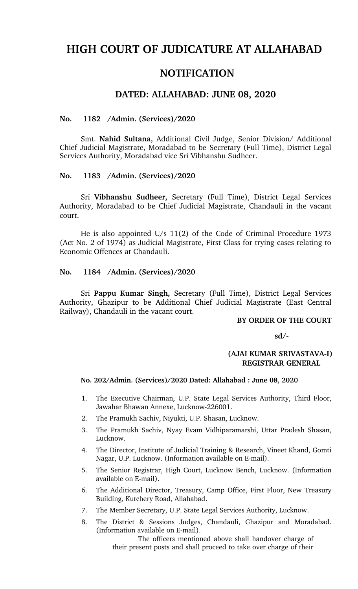# **HIGH COURT OF JUDICATURE AT ALLAHABAD**

## **NOTIFICATION**

### **DATED: ALLAHABAD: JUNE 08, 2020**

#### **No. 1182 /Admin. (Services)/2020**

Smt. **Nahid Sultana,** Additional Civil Judge, Senior Division/ Additional Chief Judicial Magistrate, Moradabad to be Secretary (Full Time), District Legal Services Authority, Moradabad vice Sri Vibhanshu Sudheer.

#### **No. 1183 /Admin. (Services)/2020**

Sri **Vibhanshu Sudheer,** Secretary (Full Time), District Legal Services Authority, Moradabad to be Chief Judicial Magistrate, Chandauli in the vacant court.

He is also appointed U/s 11(2) of the Code of Criminal Procedure 1973 (Act No. 2 of 1974) as Judicial Magistrate, First Class for trying cases relating to Economic Offences at Chandauli.

#### **No. 1184 /Admin. (Services)/2020**

Sri **Pappu Kumar Singh,** Secretary (Full Time), District Legal Services Authority, Ghazipur to be Additional Chief Judicial Magistrate (East Central Railway), Chandauli in the vacant court.

#### **BY ORDER OF THE COURT**

 **sd/**

#### **(AJAI KUMAR SRIVASTAVAI) REGISTRAR GENERAL**

#### **No. 202/Admin. (Services)/2020 Dated: Allahabad : June 08, 2020**

- 1. The Executive Chairman, U.P. State Legal Services Authority, Third Floor, Jawahar Bhawan Annexe, Lucknow-226001.
- 2. The Pramukh Sachiv, Niyukti, U.P. Shasan, Lucknow.
- 3. The Pramukh Sachiv, Nyay Evam Vidhiparamarshi, Uttar Pradesh Shasan, Lucknow.
- 4. The Director, Institute of Judicial Training & Research, Vineet Khand, Gomti Nagar, U.P. Lucknow. (Information available on E-mail).
- 5. The Senior Registrar, High Court, Lucknow Bench, Lucknow. (Information available on E-mail).
- 6. The Additional Director, Treasury, Camp Office, First Floor, New Treasury Building, Kutchery Road, Allahabad.
- 7. The Member Secretary, U.P. State Legal Services Authority, Lucknow.
- 8. The District & Sessions Judges, Chandauli, Ghazipur and Moradabad. (Information available on E-mail).

The officers mentioned above shall handover charge of their present posts and shall proceed to take over charge of their